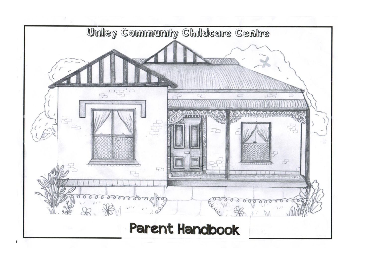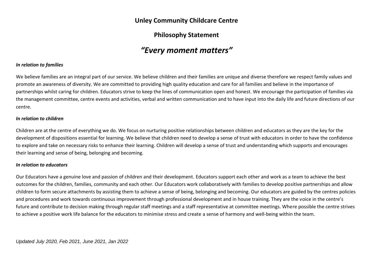## **Unley Community Childcare Centre**

# **Philosophy Statement**

# *"Every moment matters"*

#### *In relation to families*

We believe families are an integral part of our service. We believe children and their families are unique and diverse therefore we respect family values and promote an awareness of diversity. We are committed to providing high quality education and care for all families and believe in the importance of partnerships whilst caring for children. Educators strive to keep the lines of communication open and honest. We encourage the participation of families via the management committee, centre events and activities, verbal and written communication and to have input into the daily life and future directions of our centre.

#### *In relation to children*

Children are at the centre of everything we do. We focus on nurturing positive relationships between children and educators as they are the key for the development of dispositions essential for learning. We believe that children need to develop a sense of trust with educators in order to have the confidence to explore and take on necessary risks to enhance their learning. Children will develop a sense of trust and understanding which supports and encourages their learning and sense of being, belonging and becoming.

#### *In relation to educators*

Our Educators have a genuine love and passion of children and their development. Educators support each other and work as a team to achieve the best outcomes for the children, families, community and each other. Our Educators work collaboratively with families to develop positive partnerships and allow children to form secure attachments by assisting them to achieve a sense of being, belonging and becoming. Our educators are guided by the centres policies and procedures and work towards continuous improvement through professional development and in house training. They are the voice in the centre's future and contribute to decision making through regular staff meetings and a staff representative at committee meetings. Where possible the centre strives to achieve a positive work life balance for the educators to minimise stress and create a sense of harmony and well-being within the team.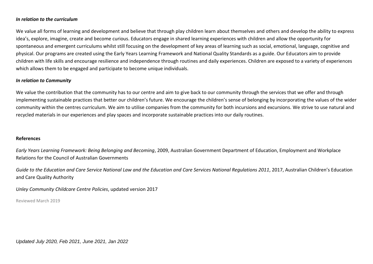#### *In relation to the curriculum*

We value all forms of learning and development and believe that through play children learn about themselves and others and develop the ability to express idea's, explore, imagine, create and become curious. Educators engage in shared learning experiences with children and allow the opportunity for spontaneous and emergent curriculums whilst still focusing on the development of key areas of learning such as social, emotional, language, cognitive and physical. Our programs are created using the Early Years Learning Framework and National Quality Standards as a guide. Our Educators aim to provide children with life skills and encourage resilience and independence through routines and daily experiences. Children are exposed to a variety of experiences which allows them to be engaged and participate to become unique individuals.

#### *In relation to Community*

We value the contribution that the community has to our centre and aim to give back to our community through the services that we offer and through implementing sustainable practices that better our children's future. We encourage the children's sense of belonging by incorporating the values of the wider community within the centres curriculum. We aim to utilise companies from the community for both incursions and excursions. We strive to use natural and recycled materials in our experiences and play spaces and incorporate sustainable practices into our daily routines.

#### **References**

*Early Years Learning Framework: Being Belonging and Becoming*, 2009, Australian Government Department of Education, Employment and Workplace Relations for the Council of Australian Governments

*Guide to the Education and Care Service National Law and the Education and Care Services National Regulations 2011*, 2017, Australian Children's Education and Care Quality Authority

*Unley Community Childcare Centre Policies*, updated version 2017

Reviewed March 2019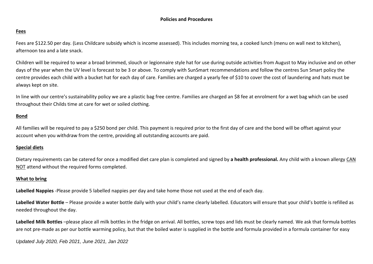#### **Policies and Procedures**

## **Fees**

Fees are \$122.50 per day. (Less Childcare subsidy which is income assessed). This includes morning tea, a cooked lunch (menu on wall next to kitchen), afternoon tea and a late snack.

Children will be required to wear a broad brimmed, slouch or legionnaire style hat for use during outside activities from August to May inclusive and on other days of the year when the UV level is forecast to be 3 or above. To comply with SunSmart recommendations and follow the centres Sun Smart policy the centre provides each child with a bucket hat for each day of care. Families are charged a yearly fee of \$10 to cover the cost of laundering and hats must be always kept on site.

In line with our centre's sustainability policy we are a plastic bag free centre. Families are charged an \$8 fee at enrolment for a wet bag which can be used throughout their Childs time at care for wet or soiled clothing.

#### **Bond**

All families will be required to pay a \$250 bond per child. This payment is required prior to the first day of care and the bond will be offset against your account when you withdraw from the centre, providing all outstanding accounts are paid.

#### **Special diets**

Dietary requirements can be catered for once a modified diet care plan is completed and signed by **a health professional.** Any child with a known allergy CAN NOT attend without the required forms completed.

#### **What to bring**

**Labelled Nappies** -Please provide 5 labelled nappies per day and take home those not used at the end of each day.

Labelled Water Bottle – Please provide a water bottle daily with your child's name clearly labelled. Educators will ensure that your child's bottle is refilled as needed throughout the day.

Labelled Milk Bottles –please place all milk bottles in the fridge on arrival. All bottles, screw tops and lids must be clearly named. We ask that formula bottles are not pre-made as per our bottle warming policy, but that the boiled water is supplied in the bottle and formula provided in a formula container for easy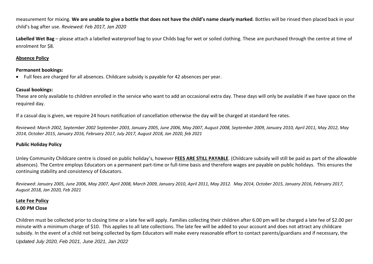measurement for mixing. **We are unable to give a bottle that does not have the child's name clearly marked**. Bottles will be rinsed then placed back in your child's bag after use. *Reviewed: Feb 2017, Jan 2020*

Labelled Wet Bag – please attach a labelled waterproof bag to your Childs bag for wet or soiled clothing. These are purchased through the centre at time of enrolment for \$8.

#### **Absence Policy**

#### **Permanent bookings:**

• Full fees are charged for all absences. Childcare subsidy is payable for 42 absences per year.

## **Casual bookings:**

These are only available to children enrolled in the service who want to add an occasional extra day. These days will only be available if we have space on the required day.

If a casual day is given, we require 24 hours notification of cancellation otherwise the day will be charged at standard fee rates.

*Reviewed: March 2002, September 2002 September 2003, January 2005, June 2006, May 2007, August 2008, September 2009, January 2010, April 2011, May 2012, May 2014, October 2015, January 2016, February 2017, July 2017, August 2018, Jan 2020, feb 2021*

#### **Public Holiday Policy**

Unley Community Childcare centre is closed on public holiday's, however **FEES ARE STILL PAYABLE**. (Childcare subsidy will still be paid as part of the allowable absences). The Centre employs Educators on a permanent part-time or full-time basis and therefore wages are payable on public holidays. This ensures the continuing stability and consistency of Educators.

*Reviewed: January 2005, June 2006, May 2007, April 2008, March 2009, January 2010, April 2011, May 2012. May 2014, October 2015, January 2016, February 2017, August 2018, Jan 2020, Feb 2021*

## **Late Fee Policy 6.00 PM Close**

Children must be collected prior to closing time or a late fee will apply. Families collecting their children after 6.00 pm will be charged a late fee of \$2.00 per minute with a minimum charge of \$10. This applies to all late collections. The late fee will be added to your account and does not attract any childcare subsidy. In the event of a child not being collected by 6pm Educators will make every reasonable effort to contact parents/guardians and if necessary, the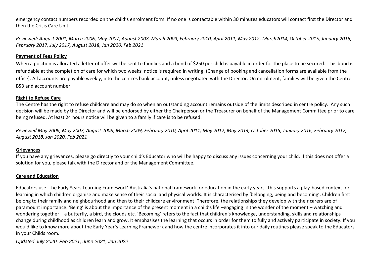emergency contact numbers recorded on the child's enrolment form. If no one is contactable within 30 minutes educators will contact first the Director and then the Crisis Care Unit.

*Reviewed: August 2001, March 2006, May 2007, August 2008, March 2009, February 2010, April 2011, May 2012, March2014, October 2015, January 2016, February 2017, July 2017, August 2018, Jan 2020, Feb 2021* 

#### **Payment of Fees Policy**

When a position is allocated a letter of offer will be sent to families and a bond of \$250 per child is payable in order for the place to be secured. This bond is refundable at the completion of care for which two weeks' notice is required in writing. (Change of booking and cancellation forms are available from the office). All accounts are payable weekly, into the centres bank account, unless negotiated with the Director. On enrolment, families will be given the Centre BSB and account number.

#### **Right to Refuse Care**

The Centre has the right to refuse childcare and may do so when an outstanding account remains outside of the limits described in centre policy. Any such decision will be made by the Director and will be endorsed by either the Chairperson or the Treasurer on behalf of the Management Committee prior to care being refused. At least 24 hours notice will be given to a family if care is to be refused.

*Reviewed May 2006, May 2007, August 2008, March 2009, February 2010, April 2011, May 2012, May 2014, October 2015, January 2016, February 2017, August 2018, Jan 2020, Feb 2021* 

#### **Grievances**

If you have any grievances, please go directly to your child's Educator who will be happy to discuss any issues concerning your child. If this does not offer a solution for you, please talk with the Director and or the Management Committee.

#### **Care and Education**

Educators use 'The Early Years Learning Framework' Australia's national framework for education in the early years. This supports a play-based context for learning in which children organise and make sense of their social and physical worlds. It is characterised by 'belonging, being and becoming'. Children first belong to their family and neighbourhood and then to their childcare environment. Therefore, the relationships they develop with their carers are of paramount importance. 'Being' is about the importance of the present moment in a child's life –engaging in the wonder of the moment – watching and wondering together – a butterfly, a bird, the clouds etc. 'Becoming' refers to the fact that children's knowledge, understanding, skills and relationships change during childhood as children learn and grow. It emphasises the learning that occurs in order for them to fully and actively participate in society. If you would like to know more about the Early Year's Learning Framework and how the centre incorporates it into our daily routines please speak to the Educators in your Childs room.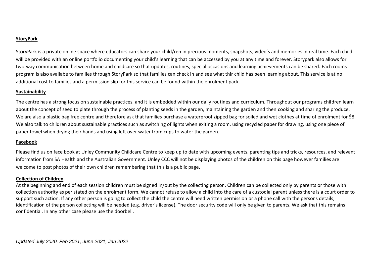## **StoryPark**

StoryPark is a private online space where educators can share your child/ren in precious moments, snapshots, video's and memories in real time. Each child will be provided with an online portfolio documenting your child's learning that can be accessed by you at any time and forever. Storypark also allows for two-way communication between home and childcare so that updates, routines, special occasions and learning achievements can be shared. Each rooms program is also availabe to families through StoryPark so that families can check in and see what thir child has been learning about. This service is at no additional cost to families and a permission slip for this service can be found within the enrolment pack.

## **Sustainability**

The centre has a strong focus on sustainable practices, and it is embedded within our daily routines and curriculum. Throughout our programs children learn about the concept of seed to plate through the process of planting seeds in the garden, maintaining the garden and then cooking and sharing the produce. We are also a plastic bag free centre and therefore ask that families purchase a waterproof zipped bag for soiled and wet clothes at time of enrolment for \$8. We also talk to children about sustainable practices such as switching of lights when exiting a room, using recycled paper for drawing, using one piece of paper towel when drying their hands and using left over water from cups to water the garden.

## **Facebook**

Please find us on face book at Unley Community Childcare Centre to keep up to date with upcoming events, parenting tips and tricks, resources, and relevant information from SA Health and the Australian Government. Unley CCC will not be displaying photos of the children on this page however families are welcome to post photos of their own children remembering that this is a public page.

## **Collection of Children**

At the beginning and end of each session children must be signed in/out by the collecting person. Children can be collected only by parents or those with collection authority as per stated on the enrolment form. We cannot refuse to allow a child into the care of a custodial parent unless there is a court order to support such action. If any other person is going to collect the child the centre will need written permission or a phone call with the persons details, identification of the person collecting will be needed (e.g. driver's license). The door security code will only be given to parents. We ask that this remains confidential. In any other case please use the doorbell.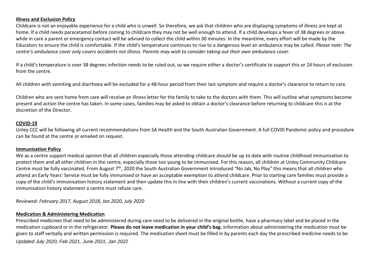#### **Illness and Exclusion Policy**

Childcare is not an enjoyable experience for a child who is unwell. So therefore, we ask that children who are displaying symptoms of illness are kept at home. If a child needs paracetamol before coming to childcare they may not be well enough to attend. If a child develops a fever of 38 degrees or above while in care a parent or emergency contact will be advised to collect the child within 30 minutes. In the meantime, every effort will be made by the Educators to ensure the child is comfortable. If the child's temperature continues to rise to a dangerous level an ambulance may be called. *Please note: The centre's ambulance cover only covers accidents not illness. Parents may wish to consider taking out their own ambulance cover.* 

If a child's temperature is over 38 degrees infection needs to be ruled out, so we require either a doctor's certificate to support this or 24 hours of exclusion from the centre.

All children with vomiting and diarrhoea will be excluded for a 48-hour period from their last symptom and require a doctor's clearance to return to care.

Children who are sent home from care will receive an illness letter for the family to take to the doctors with them. This will outline what symptoms become present and action the centre has taken. In some cases, families may be asked to obtain a doctor's clearance before returning to childcare this is at the discretion of the Director.

#### **COVID-19**

Unley CCC will be following all current recommendations from SA Health and the South Australian Government. A full COVID Pandemic policy and procedure can be found at the centre or emailed on request.

#### **Immunisation Policy**

We as a centre support medical opinion that all children especially those attending childcare should be up to date with routine childhood immunisation to protect them and all other children in the centre, especially those too young to be immunised. For this reason, all children at Unley Community Childcare Centre must be fully vaccinated. From August 7<sup>th</sup>, 2020 the South Australian Government introduced "No Jab, No Play" this means that all children who attend an Early Years' Service must be fully immunised or have an acceptable exemption to attend childcare. Prior to starting care families must provide a copy of the child's immunisation history statement and then update this in line with their children's current vaccinations. Without a current copy of the immunisation history statement a centre must refuse care.

*Reviewed: February 2017, August 2018, Jan 2020, July 2020*

#### **Medication & Administering Medication**

*Updated July 2020, Feb 2021, June 2021, Jan 2022* Prescribed medicines that need to be administered during care need to be delivered in the original bottle, have a pharmacy label and be placed in the medication cupboard or in the refrigerator. **Please do not leave medication in your child's bag.** Information about administering the medication must be given to staff verbally and written permission is required. The medication sheet must be filled in by parents each day the prescribed medicine needs to be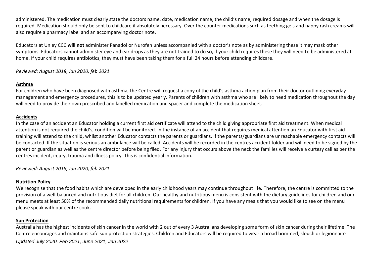administered. The medication must clearly state the doctors name, date, medication name, the child's name, required dosage and when the dosage is required. Medication should only be sent to childcare if absolutely necessary. Over the counter medications such as teething gels and nappy rash creams will also require a pharmacy label and an accompanying doctor note.

Educators at Unley CCC **will not** administer Panadol or Nurofen unless accompanied with a doctor's note as by administering these it may mask other symptoms. Educators cannot administer eye and ear drops as they are not trained to do so, if your child requires these they will need to be administered at home. If your child requires antibiotics, they must have been taking them for a full 24 hours before attending childcare.

## *Reviewed: August 2018, Jan 2020, feb 2021*

## **Asthma**

For children who have been diagnosed with asthma, the Centre will request a copy of the child's asthma action plan from their doctor outlining everyday management and emergency procedures, this is to be updated yearly. Parents of children with asthma who are likely to need medication throughout the day will need to provide their own prescribed and labelled medication and spacer and complete the medication sheet.

#### **Accidents**

In the case of an accident an Educator holding a current first aid certificate will attend to the child giving appropriate first aid treatment. When medical attention is not required the child's, condition will be monitored. In the instance of an accident that requires medical attention an Educator with first aid training will attend to the child, whilst another Educator contacts the parents or guardians. If the parents/guardians are unreachable emergency contacts will be contacted. If the situation is serious an ambulance will be called. Accidents will be recorded in the centres accident folder and will need to be signed by the parent or guardian as well as the centre director before being filed. For any injury that occurs above the neck the families will receive a curtesy call as per the centres incident, injury, trauma and illness policy. This is confidential information.

*Reviewed: August 2018, Jan 2020, feb 2021* 

## **Nutrition Policy**

We recognise that the food habits which are developed in the early childhood years may continue throughout life. Therefore, the centre is committed to the provision of a well-balanced and nutritious diet for all children. Our healthy and nutritious menu is consistent with the dietary guidelines for children and our menu meets at least 50% of the recommended daily nutritional requirements for children. If you have any meals that you would like to see on the menu please speak with our centre cook.

## **Sun Protection**

*Updated July 2020, Feb 2021, June 2021, Jan 2022* Australia has the highest incidents of skin cancer in the world with 2 out of every 3 Australians developing some form of skin cancer during their lifetime. The Centre encourages and maintains safe sun protection strategies. Children and Educators will be required to wear a broad brimmed, slouch or legionnaire